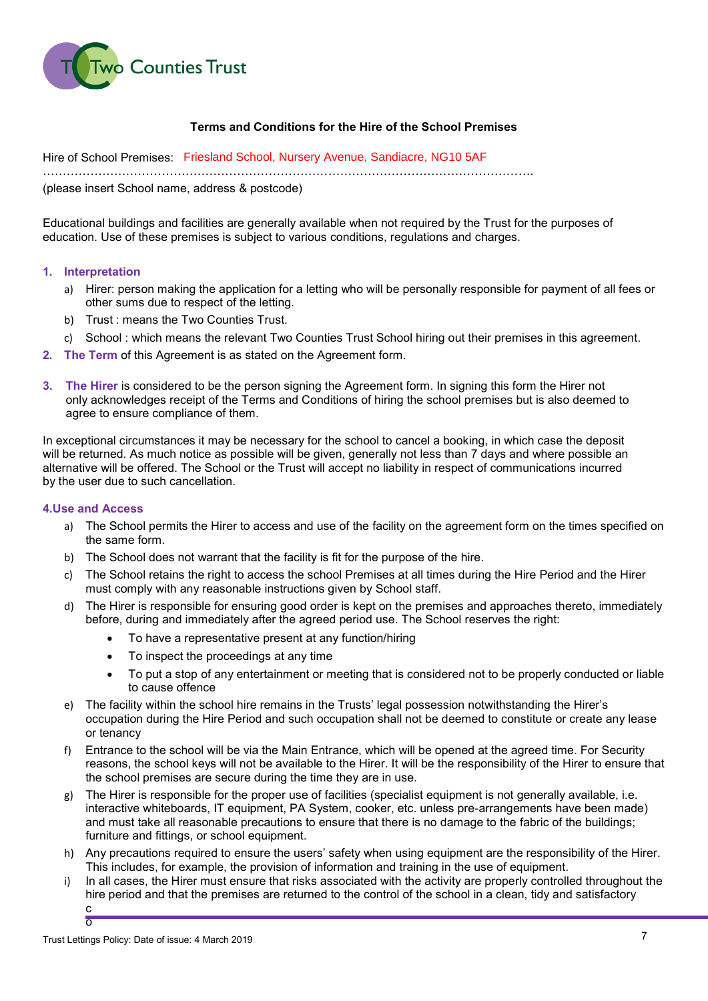

## Terms and Conditions for the Hire of the School Premises

Hire of School Premises: Friesland School, Nursery Avenue, Sandiacre, NG10 5AF…………………………………………………………………………………………………………….

(please insert School name, address & postcode)

Educational buildings and facilities are generally available when not required by the Trust for the purposes of education. Use of these premises is subject to various conditions, regulations and charges.

### 1. Interpretation

- a) Hirer: person making the application for a letting who will be personally responsible for payment of all fees or other sums due to respect of the letting.
- b) Trust : means the Two Counties Trust.
- c) School : which means the relevant Two Counties Trust School hiring out their premises in this agreement.
- 2. The Term of this Agreement is as stated on the Agreement form.
- 3. The Hirer is considered to be the person signing the Agreement form. In signing this form the Hirer not only acknowledges receipt of the Terms and Conditions of hiring the school premises but is also deemed to agree to ensure compliance of them.

In exceptional circumstances it may be necessary for the school to cancel a booking, in which case the deposit will be returned. As much notice as possible will be given, generally not less than 7 days and where possible an alternative will be offered. The School or the Trust will accept no liability in respect of communications incurred by the user due to such cancellation.

### 4.Use and Access

- a) The School permits the Hirer to access and use of the facility on the agreement form on the times specified on the same form.
- b) The School does not warrant that the facility is fit for the purpose of the hire.
- c) The School retains the right to access the school Premises at all times during the Hire Period and the Hirer must comply with any reasonable instructions given by School staff.
- d) The Hirer is responsible for ensuring good order is kept on the premises and approaches thereto, immediately before, during and immediately after the agreed period use. The School reserves the right:
	- To have a representative present at any function/hiring
	- To inspect the proceedings at any time
	- To put a stop of any entertainment or meeting that is considered not to be properly conducted or liable to cause offence
- e) The facility within the school hire remains in the Trusts' legal possession notwithstanding the Hirer's occupation during the Hire Period and such occupation shall not be deemed to constitute or create any lease or tenancy
- f) Entrance to the school will be via the Main Entrance, which will be opened at the agreed time. For Security reasons, the school keys will not be available to the Hirer. It will be the responsibility of the Hirer to ensure that the school premises are secure during the time they are in use.
- g) The Hirer is responsible for the proper use of facilities (specialist equipment is not generally available, i.e. interactive whiteboards, IT equipment, PA System, cooker, etc. unless pre-arrangements have been made) and must take all reasonable precautions to ensure that there is no damage to the fabric of the buildings; furniture and fittings, or school equipment.
- h) Any precautions required to ensure the users' safety when using equipment are the responsibility of the Hirer. This includes, for example, the provision of information and training in the use of equipment.
- i) In all cases, the Hirer must ensure that risks associated with the activity are properly controlled throughout the hire period and that the premises are returned to the control of the school in a clean, tidy and satisfactory c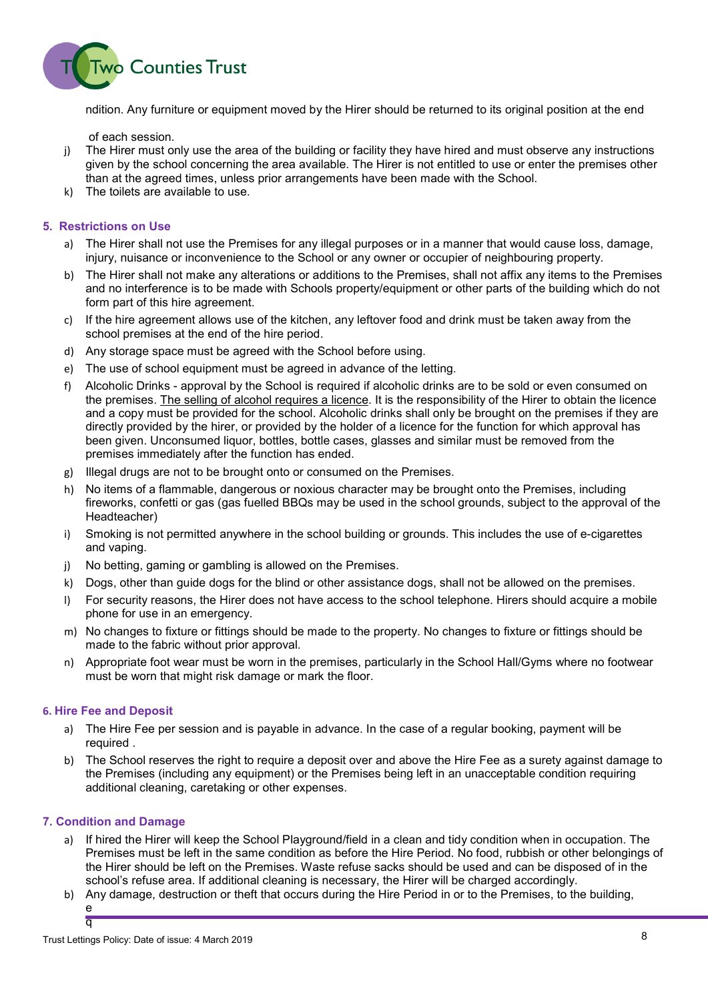

ndition. Any furniture or equipment moved by the Hirer should be returned to its original position at the end

of each session.

- j) The Hirer must only use the area of the building or facility they have hired and must observe any instructions given by the school concerning the area available. The Hirer is not entitled to use or enter the premises other than at the agreed times, unless prior arrangements have been made with the School.
- k) The toilets are available to use.

### 5. Restrictions on Use

- a) The Hirer shall not use the Premises for any illegal purposes or in a manner that would cause loss, damage, injury, nuisance or inconvenience to the School or any owner or occupier of neighbouring property.
- b) The Hirer shall not make any alterations or additions to the Premises, shall not affix any items to the Premises and no interference is to be made with Schools property/equipment or other parts of the building which do not form part of this hire agreement.
- c) If the hire agreement allows use of the kitchen, any leftover food and drink must be taken away from the school premises at the end of the hire period.
- d) Any storage space must be agreed with the School before using.
- e) The use of school equipment must be agreed in advance of the letting.
- f) Alcoholic Drinks approval by the School is required if alcoholic drinks are to be sold or even consumed on the premises. The selling of alcohol requires a licence. It is the responsibility of the Hirer to obtain the licence and a copy must be provided for the school. Alcoholic drinks shall only be brought on the premises if they are directly provided by the hirer, or provided by the holder of a licence for the function for which approval has been given. Unconsumed liquor, bottles, bottle cases, glasses and similar must be removed from the premises immediately after the function has ended.
- g) Illegal drugs are not to be brought onto or consumed on the Premises.
- h) No items of a flammable, dangerous or noxious character may be brought onto the Premises, including fireworks, confetti or gas (gas fuelled BBQs may be used in the school grounds, subject to the approval of the Headteacher)
- i) Smoking is not permitted anywhere in the school building or grounds. This includes the use of e-cigarettes and vaping.
- j) No betting, gaming or gambling is allowed on the Premises.
- k) Dogs, other than guide dogs for the blind or other assistance dogs, shall not be allowed on the premises.
- l) For security reasons, the Hirer does not have access to the school telephone. Hirers should acquire a mobile phone for use in an emergency.
- m) No changes to fixture or fittings should be made to the property. No changes to fixture or fittings should be made to the fabric without prior approval.
- n) Appropriate foot wear must be worn in the premises, particularly in the School Hall/Gyms where no footwear must be worn that might risk damage or mark the floor.

### 6. Hire Fee and Deposit

- a) The Hire Fee per session and is payable in advance. In the case of a regular booking, payment will be required .
- b) The School reserves the right to require a deposit over and above the Hire Fee as a surety against damage to the Premises (including any equipment) or the Premises being left in an unacceptable condition requiring additional cleaning, caretaking or other expenses.

# 7. Condition and Damage

- a) If hired the Hirer will keep the School Playground/field in a clean and tidy condition when in occupation. The Premises must be left in the same condition as before the Hire Period. No food, rubbish or other belongings of the Hirer should be left on the Premises. Waste refuse sacks should be used and can be disposed of in the school's refuse area. If additional cleaning is necessary, the Hirer will be charged accordingly.
- b) Any damage, destruction or theft that occurs during the Hire Period in or to the Premises, to the building, e q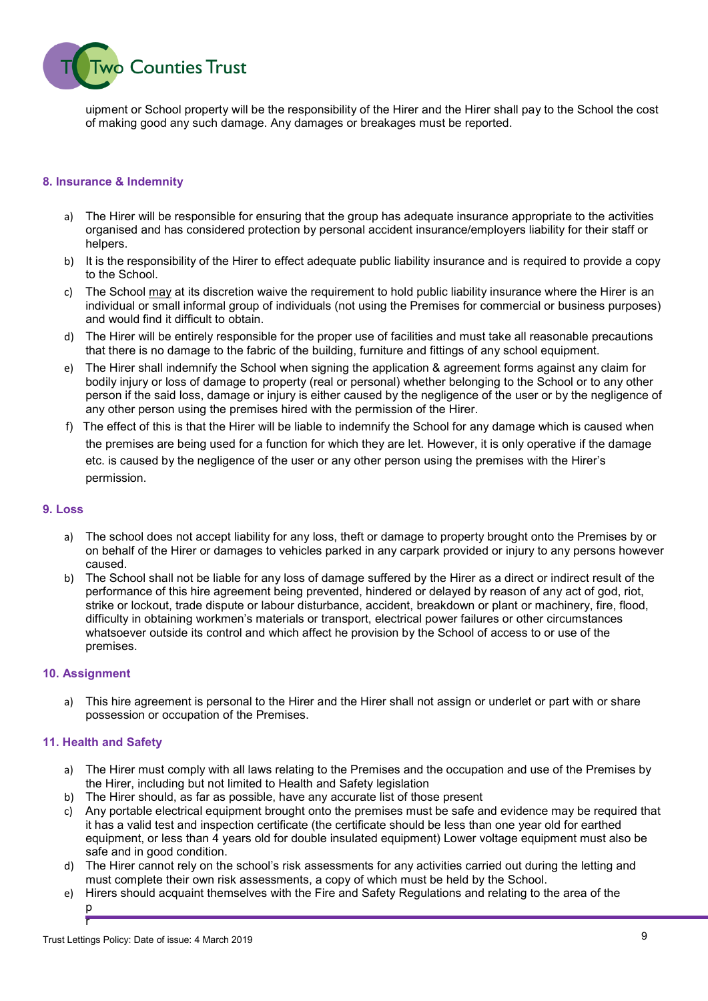

uipment or School property will be the responsibility of the Hirer and the Hirer shall pay to the School the cost of making good any such damage. Any damages or breakages must be reported.

### 8. Insurance & Indemnity

- a) The Hirer will be responsible for ensuring that the group has adequate insurance appropriate to the activities organised and has considered protection by personal accident insurance/employers liability for their staff or helpers.
- b) It is the responsibility of the Hirer to effect adequate public liability insurance and is required to provide a copy to the School.
- c) The School may at its discretion waive the requirement to hold public liability insurance where the Hirer is an individual or small informal group of individuals (not using the Premises for commercial or business purposes) and would find it difficult to obtain.
- d) The Hirer will be entirely responsible for the proper use of facilities and must take all reasonable precautions that there is no damage to the fabric of the building, furniture and fittings of any school equipment.
- e) The Hirer shall indemnify the School when signing the application & agreement forms against any claim for bodily injury or loss of damage to property (real or personal) whether belonging to the School or to any other person if the said loss, damage or injury is either caused by the negligence of the user or by the negligence of any other person using the premises hired with the permission of the Hirer.
- f) The effect of this is that the Hirer will be liable to indemnify the School for any damage which is caused when the premises are being used for a function for which they are let. However, it is only operative if the damage etc. is caused by the negligence of the user or any other person using the premises with the Hirer's permission.

### 9. Loss

- a) The school does not accept liability for any loss, theft or damage to property brought onto the Premises by or on behalf of the Hirer or damages to vehicles parked in any carpark provided or injury to any persons however caused.
- b) The School shall not be liable for any loss of damage suffered by the Hirer as a direct or indirect result of the performance of this hire agreement being prevented, hindered or delayed by reason of any act of god, riot, strike or lockout, trade dispute or labour disturbance, accident, breakdown or plant or machinery, fire, flood, difficulty in obtaining workmen's materials or transport, electrical power failures or other circumstances whatsoever outside its control and which affect he provision by the School of access to or use of the premises.

### 10. Assignment

r

a) This hire agreement is personal to the Hirer and the Hirer shall not assign or underlet or part with or share possession or occupation of the Premises.

### 11. Health and Safety

- a) The Hirer must comply with all laws relating to the Premises and the occupation and use of the Premises by the Hirer, including but not limited to Health and Safety legislation
- b) The Hirer should, as far as possible, have any accurate list of those present
- c) Any portable electrical equipment brought onto the premises must be safe and evidence may be required that it has a valid test and inspection certificate (the certificate should be less than one year old for earthed equipment, or less than 4 years old for double insulated equipment) Lower voltage equipment must also be safe and in good condition.
- d) The Hirer cannot rely on the school's risk assessments for any activities carried out during the letting and must complete their own risk assessments, a copy of which must be held by the School.
- e) Hirers should acquaint themselves with the Fire and Safety Regulations and relating to the area of the p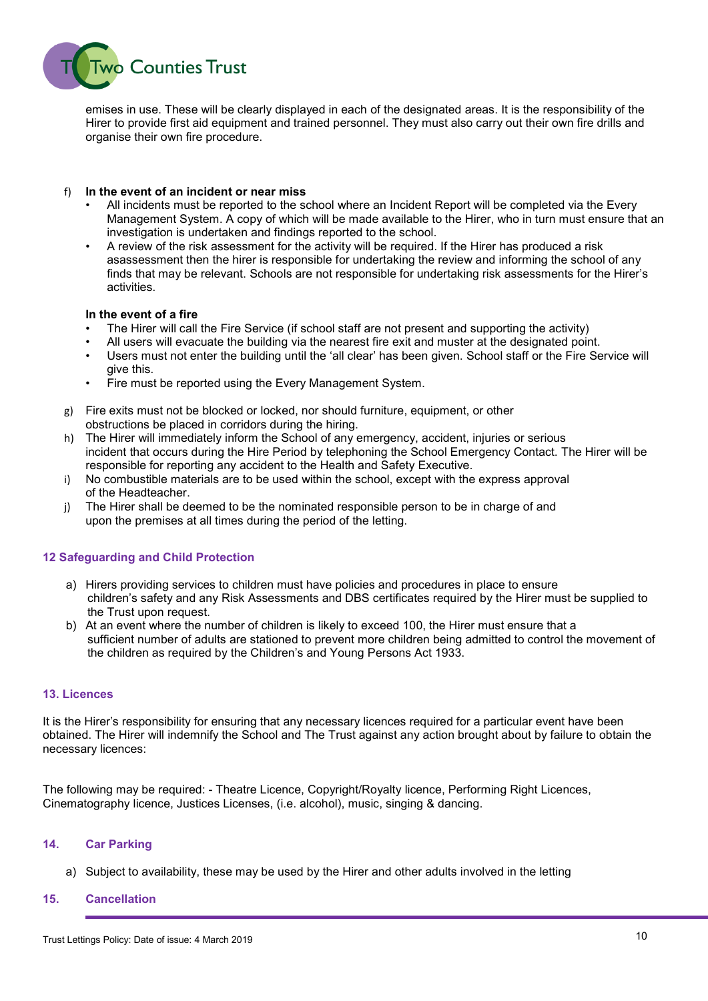

emises in use. These will be clearly displayed in each of the designated areas. It is the responsibility of the Hirer to provide first aid equipment and trained personnel. They must also carry out their own fire drills and organise their own fire procedure.

## f) In the event of an incident or near miss

- All incidents must be reported to the school where an Incident Report will be completed via the Every Management System. A copy of which will be made available to the Hirer, who in turn must ensure that an investigation is undertaken and findings reported to the school.
- A review of the risk assessment for the activity will be required. If the Hirer has produced a risk asassessment then the hirer is responsible for undertaking the review and informing the school of any finds that may be relevant. Schools are not responsible for undertaking risk assessments for the Hirer's activities.

### In the event of a fire

- The Hirer will call the Fire Service (if school staff are not present and supporting the activity)
- All users will evacuate the building via the nearest fire exit and muster at the designated point.
- Users must not enter the building until the 'all clear' has been given. School staff or the Fire Service will give this.
- Fire must be reported using the Every Management System.
- g) Fire exits must not be blocked or locked, nor should furniture, equipment, or other obstructions be placed in corridors during the hiring.
- h) The Hirer will immediately inform the School of any emergency, accident, injuries or serious incident that occurs during the Hire Period by telephoning the School Emergency Contact. The Hirer will be responsible for reporting any accident to the Health and Safety Executive.
- i) No combustible materials are to be used within the school, except with the express approval of the Headteacher.
- j) The Hirer shall be deemed to be the nominated responsible person to be in charge of and upon the premises at all times during the period of the letting.

# 12 Safeguarding and Child Protection

- a) Hirers providing services to children must have policies and procedures in place to ensure children's safety and any Risk Assessments and DBS certificates required by the Hirer must be supplied to the Trust upon request.
- b) At an event where the number of children is likely to exceed 100, the Hirer must ensure that a sufficient number of adults are stationed to prevent more children being admitted to control the movement of the children as required by the Children's and Young Persons Act 1933.

# 13. Licences

It is the Hirer's responsibility for ensuring that any necessary licences required for a particular event have been obtained. The Hirer will indemnify the School and The Trust against any action brought about by failure to obtain the necessary licences:

The following may be required: - Theatre Licence, Copyright/Royalty licence, Performing Right Licences, Cinematography licence, Justices Licenses, (i.e. alcohol), music, singing & dancing.

### 14. Car Parking

a) Subject to availability, these may be used by the Hirer and other adults involved in the letting

### 15. Cancellation